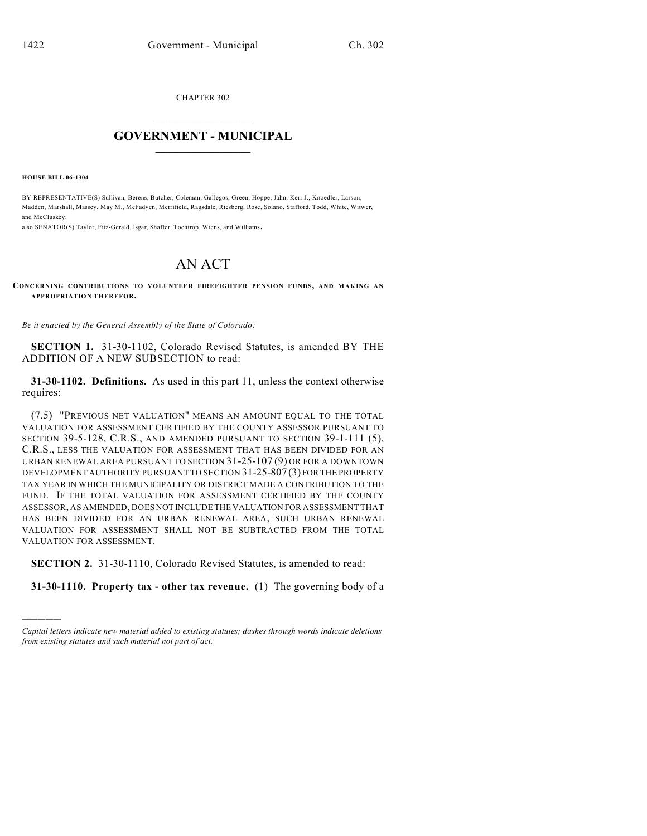CHAPTER 302

## $\mathcal{L}_\text{max}$  . The set of the set of the set of the set of the set of the set of the set of the set of the set of the set of the set of the set of the set of the set of the set of the set of the set of the set of the set **GOVERNMENT - MUNICIPAL**  $\_$

**HOUSE BILL 06-1304**

)))))

BY REPRESENTATIVE(S) Sullivan, Berens, Butcher, Coleman, Gallegos, Green, Hoppe, Jahn, Kerr J., Knoedler, Larson, Madden, Marshall, Massey, May M., McFadyen, Merrifield, Ragsdale, Riesberg, Rose, Solano, Stafford, Todd, White, Witwer, and McCluskey;

also SENATOR(S) Taylor, Fitz-Gerald, Isgar, Shaffer, Tochtrop, Wiens, and Williams.

## AN ACT

## **CONCERNING CONTRIBUTIONS TO VOLUNTEER FIREFIGHTER PENSION FUNDS, AND MAKING AN APPROPRIATION THEREFOR.**

*Be it enacted by the General Assembly of the State of Colorado:*

**SECTION 1.** 31-30-1102, Colorado Revised Statutes, is amended BY THE ADDITION OF A NEW SUBSECTION to read:

**31-30-1102. Definitions.** As used in this part 11, unless the context otherwise requires:

(7.5) "PREVIOUS NET VALUATION" MEANS AN AMOUNT EQUAL TO THE TOTAL VALUATION FOR ASSESSMENT CERTIFIED BY THE COUNTY ASSESSOR PURSUANT TO SECTION 39-5-128, C.R.S., AND AMENDED PURSUANT TO SECTION 39-1-111 (5), C.R.S., LESS THE VALUATION FOR ASSESSMENT THAT HAS BEEN DIVIDED FOR AN URBAN RENEWAL AREA PURSUANT TO SECTION 31-25-107 (9) OR FOR A DOWNTOWN DEVELOPMENT AUTHORITY PURSUANT TO SECTION 31-25-807 (3) FOR THE PROPERTY TAX YEAR IN WHICH THE MUNICIPALITY OR DISTRICT MADE A CONTRIBUTION TO THE FUND. IF THE TOTAL VALUATION FOR ASSESSMENT CERTIFIED BY THE COUNTY ASSESSOR, AS AMENDED, DOES NOT INCLUDE THE VALUATION FOR ASSESSMENT THAT HAS BEEN DIVIDED FOR AN URBAN RENEWAL AREA, SUCH URBAN RENEWAL VALUATION FOR ASSESSMENT SHALL NOT BE SUBTRACTED FROM THE TOTAL VALUATION FOR ASSESSMENT.

**SECTION 2.** 31-30-1110, Colorado Revised Statutes, is amended to read:

**31-30-1110. Property tax - other tax revenue.** (1) The governing body of a

*Capital letters indicate new material added to existing statutes; dashes through words indicate deletions from existing statutes and such material not part of act.*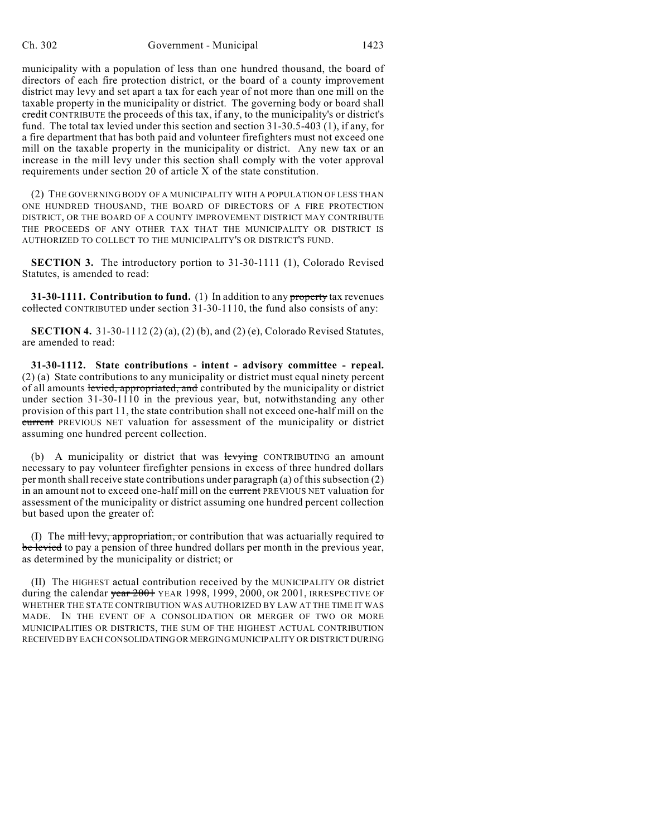municipality with a population of less than one hundred thousand, the board of directors of each fire protection district, or the board of a county improvement district may levy and set apart a tax for each year of not more than one mill on the taxable property in the municipality or district. The governing body or board shall credit CONTRIBUTE the proceeds of this tax, if any, to the municipality's or district's fund. The total tax levied under this section and section 31-30.5-403 (1), if any, for a fire department that has both paid and volunteer firefighters must not exceed one mill on the taxable property in the municipality or district. Any new tax or an increase in the mill levy under this section shall comply with the voter approval requirements under section 20 of article X of the state constitution.

(2) THE GOVERNING BODY OF A MUNICIPALITY WITH A POPULATION OF LESS THAN ONE HUNDRED THOUSAND, THE BOARD OF DIRECTORS OF A FIRE PROTECTION DISTRICT, OR THE BOARD OF A COUNTY IMPROVEMENT DISTRICT MAY CONTRIBUTE THE PROCEEDS OF ANY OTHER TAX THAT THE MUNICIPALITY OR DISTRICT IS AUTHORIZED TO COLLECT TO THE MUNICIPALITY'S OR DISTRICT'S FUND.

**SECTION 3.** The introductory portion to 31-30-1111 (1), Colorado Revised Statutes, is amended to read:

**31-30-1111. Contribution to fund.** (1) In addition to any property tax revenues collected CONTRIBUTED under section 31-30-1110, the fund also consists of any:

**SECTION 4.** 31-30-1112 (2) (a), (2) (b), and (2) (e), Colorado Revised Statutes, are amended to read:

**31-30-1112. State contributions - intent - advisory committee - repeal.** (2) (a) State contributions to any municipality or district must equal ninety percent of all amounts levied, appropriated, and contributed by the municipality or district under section 31-30-1110 in the previous year, but, notwithstanding any other provision of this part 11, the state contribution shall not exceed one-half mill on the current PREVIOUS NET valuation for assessment of the municipality or district assuming one hundred percent collection.

(b) A municipality or district that was levying CONTRIBUTING an amount necessary to pay volunteer firefighter pensions in excess of three hundred dollars per month shall receive state contributions under paragraph (a) of this subsection (2) in an amount not to exceed one-half mill on the current PREVIOUS NET valuation for assessment of the municipality or district assuming one hundred percent collection but based upon the greater of:

(I) The mill levy, appropriation, or contribution that was actuarially required to be levied to pay a pension of three hundred dollars per month in the previous year, as determined by the municipality or district; or

(II) The HIGHEST actual contribution received by the MUNICIPALITY OR district during the calendar  $\frac{\text{year}}{2001}$  YEAR 1998, 1999, 2000, OR 2001, IRRESPECTIVE OF WHETHER THE STATE CONTRIBUTION WAS AUTHORIZED BY LAW AT THE TIME IT WAS MADE. IN THE EVENT OF A CONSOLIDATION OR MERGER OF TWO OR MORE MUNICIPALITIES OR DISTRICTS, THE SUM OF THE HIGHEST ACTUAL CONTRIBUTION RECEIVED BY EACH CONSOLIDATING OR MERGING MUNICIPALITY OR DISTRICT DURING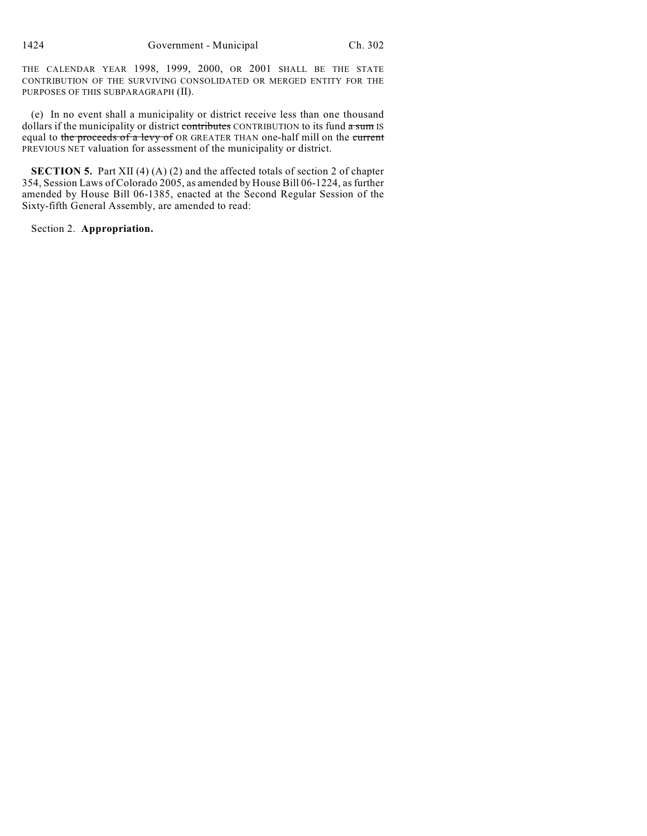THE CALENDAR YEAR 1998, 1999, 2000, OR 2001 SHALL BE THE STATE CONTRIBUTION OF THE SURVIVING CONSOLIDATED OR MERGED ENTITY FOR THE PURPOSES OF THIS SUBPARAGRAPH (II).

(e) In no event shall a municipality or district receive less than one thousand dollars if the municipality or district contributes CONTRIBUTION to its fund a sum IS equal to the proceeds of a levy of OR GREATER THAN one-half mill on the current PREVIOUS NET valuation for assessment of the municipality or district.

**SECTION 5.** Part XII (4) (A) (2) and the affected totals of section 2 of chapter 354, Session Laws of Colorado 2005, as amended by House Bill 06-1224, as further amended by House Bill 06-1385, enacted at the Second Regular Session of the Sixty-fifth General Assembly, are amended to read:

Section 2. **Appropriation.**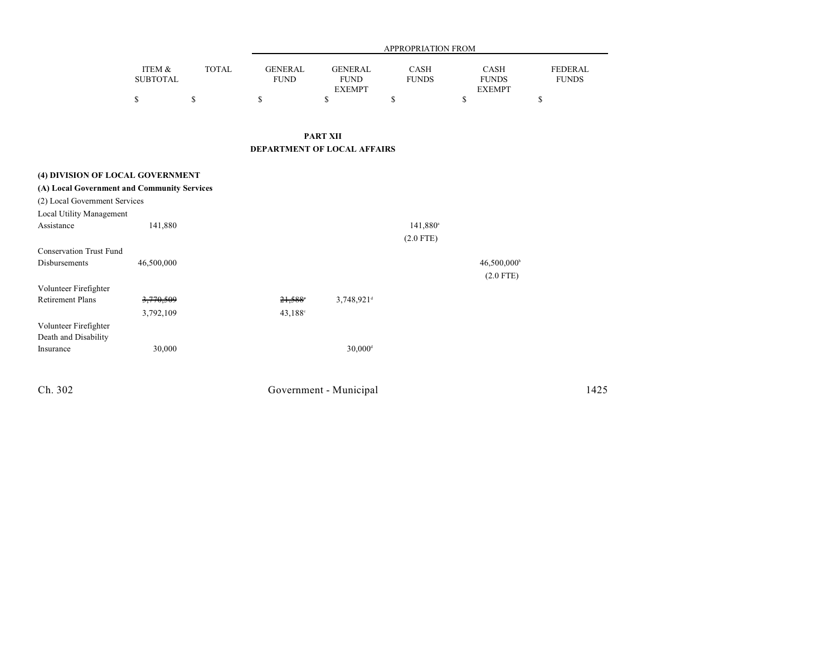|                                             |                           | <b>TOTAL</b> | APPROPRIATION FROM            |                                                |                      |                                       |                                |  |  |
|---------------------------------------------|---------------------------|--------------|-------------------------------|------------------------------------------------|----------------------|---------------------------------------|--------------------------------|--|--|
|                                             | ITEM &<br><b>SUBTOTAL</b> |              | <b>GENERAL</b><br><b>FUND</b> | <b>GENERAL</b><br><b>FUND</b><br><b>EXEMPT</b> | CASH<br><b>FUNDS</b> | CASH<br><b>FUNDS</b><br><b>EXEMPT</b> | <b>FEDERAL</b><br><b>FUNDS</b> |  |  |
|                                             | \$                        | \$           | \$                            | \$                                             | \$                   | $\mathbf S$                           | \$                             |  |  |
|                                             |                           |              |                               | <b>PART XII</b>                                |                      |                                       |                                |  |  |
|                                             |                           |              | DEPARTMENT OF LOCAL AFFAIRS   |                                                |                      |                                       |                                |  |  |
| (4) DIVISION OF LOCAL GOVERNMENT            |                           |              |                               |                                                |                      |                                       |                                |  |  |
| (A) Local Government and Community Services |                           |              |                               |                                                |                      |                                       |                                |  |  |
| (2) Local Government Services               |                           |              |                               |                                                |                      |                                       |                                |  |  |
| Local Utility Management                    |                           |              |                               |                                                |                      |                                       |                                |  |  |
| Assistance                                  | 141,880                   |              |                               |                                                | 141,880 <sup>a</sup> |                                       |                                |  |  |
|                                             |                           |              |                               |                                                | $(2.0$ FTE)          |                                       |                                |  |  |
| <b>Conservation Trust Fund</b>              |                           |              |                               |                                                |                      |                                       |                                |  |  |
| Disbursements                               | 46,500,000                |              |                               |                                                |                      | 46,500,000 <sup>b</sup>               |                                |  |  |
|                                             |                           |              |                               |                                                |                      | $(2.0$ FTE)                           |                                |  |  |
| Volunteer Firefighter                       |                           |              |                               |                                                |                      |                                       |                                |  |  |
| <b>Retirement Plans</b>                     | 3,770,509                 |              | 21,588                        | $3,748,921$ <sup>d</sup>                       |                      |                                       |                                |  |  |
|                                             | 3,792,109                 |              | $43,188^{\circ}$              |                                                |                      |                                       |                                |  |  |
| Volunteer Firefighter                       |                           |              |                               |                                                |                      |                                       |                                |  |  |
| Death and Disability                        |                           |              |                               |                                                |                      |                                       |                                |  |  |
| Insurance                                   | 30,000                    |              |                               | $30,000$ <sup>d</sup>                          |                      |                                       |                                |  |  |
| Ch. 302                                     |                           |              |                               | Government - Municipal                         |                      |                                       | 1425                           |  |  |
|                                             |                           |              |                               |                                                |                      |                                       |                                |  |  |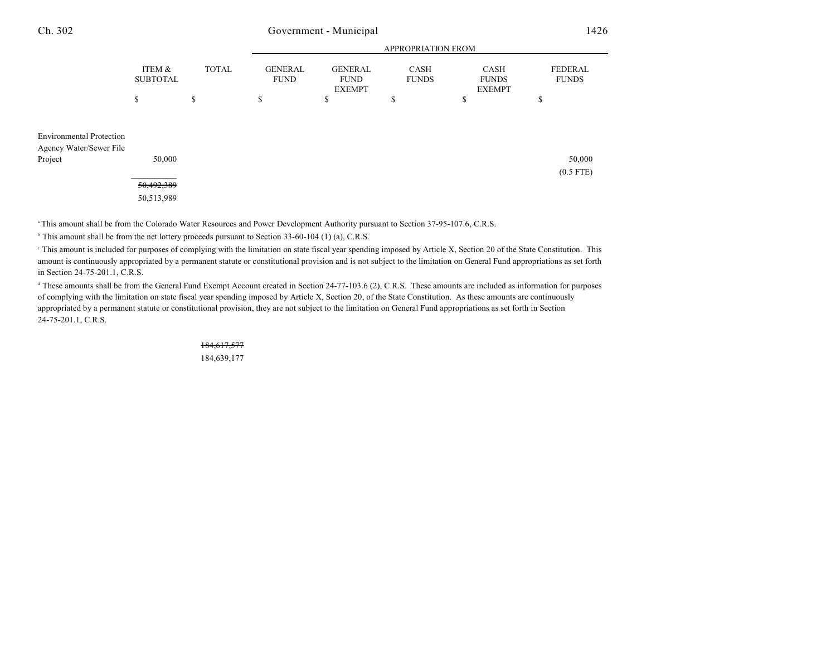## Government - Municipal

| × |  |
|---|--|
|---|--|

|                                                                       |                                    | <b>TOTAL</b> | APPROPRIATION FROM            |                                                |                      |                                       |                         |  |  |
|-----------------------------------------------------------------------|------------------------------------|--------------|-------------------------------|------------------------------------------------|----------------------|---------------------------------------|-------------------------|--|--|
|                                                                       | ITEM &<br><b>SUBTOTAL</b>          |              | <b>GENERAL</b><br><b>FUND</b> | <b>GENERAL</b><br><b>FUND</b><br><b>EXEMPT</b> | CASH<br><b>FUNDS</b> | CASH<br><b>FUNDS</b><br><b>EXEMPT</b> | FEDERAL<br><b>FUNDS</b> |  |  |
|                                                                       | \$                                 | \$           | \$                            | ъ                                              | \$                   | ъ                                     | \$                      |  |  |
| <b>Environmental Protection</b><br>Agency Water/Sewer File<br>Project | 50,000<br>50,492,389<br>50,513,989 |              |                               |                                                |                      |                                       | 50,000<br>$(0.5$ FTE)   |  |  |

<sup>a</sup> This amount shall be from the Colorado Water Resources and Power Development Authority pursuant to Section 37-95-107.6, C.R.S.

<sup>b</sup> This amount shall be from the net lottery proceeds pursuant to Section 33-60-104 (1) (a), C.R.S.

 This amount is included for purposes of complying with the limitation on state fiscal year spending imposed by Article X, Section 20 of the State Constitution. This <sup>c</sup> amount is continuously appropriated by a permanent statute or constitutional provision and is not subject to the limitation on General Fund appropriations as set forth in Section 24-75-201.1, C.R.S.

<sup>d</sup> These amounts shall be from the General Fund Exempt Account created in Section 24-77-103.6 (2), C.R.S. These amounts are included as information for purposes of complying with the limitation on state fiscal year spending imposed by Article X, Section 20, of the State Constitution. As these amounts are continuously appropriated by a permanent statute or constitutional provision, they are not subject to the limitation on General Fund appropriations as set forth in Section 24-75-201.1, C.R.S.

> 184,617,577 184,639,177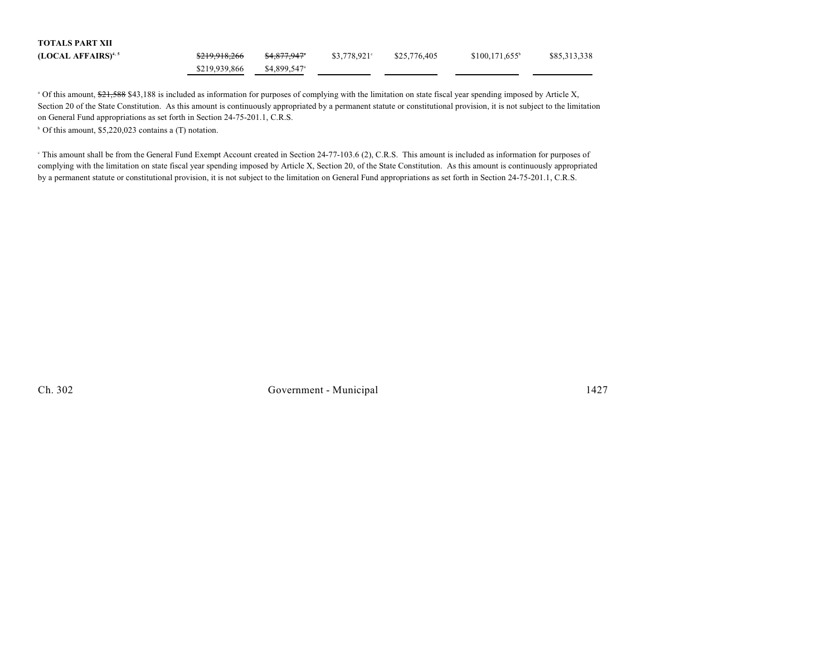| <b>TOTALS PART XII</b>          |               |                          |                |              |                             |              |
|---------------------------------|---------------|--------------------------|----------------|--------------|-----------------------------|--------------|
| (LOCAL AFFAIRS) <sup>4, 5</sup> | \$219,918,266 | <del>\$4.877.947</del> * | $$3.778.921$ ° | \$25,776,405 | $$100.171.655$ <sup>b</sup> | \$85,313,338 |
|                                 | \$219,939,866 | \$4,899,547 <sup>a</sup> |                |              |                             |              |

<sup>a</sup> Of this amount, \$21,588 \$43,188 is included as information for purposes of complying with the limitation on state fiscal year spending imposed by Article X, Section 20 of the State Constitution. As this amount is continuously appropriated by a permanent statute or constitutional provision, it is not subject to the limitation on General Fund appropriations as set forth in Section 24-75-201.1, C.R.S.

 $\circ$  Of this amount, \$5,220,023 contains a (T) notation.

<sup>e</sup> This amount shall be from the General Fund Exempt Account created in Section 24-77-103.6 (2), C.R.S. This amount is included as information for purposes of complying with the limitation on state fiscal year spending imposed by Article X, Section 20, of the State Constitution. As this amount is continuously appropriated by a permanent statute or constitutional provision, it is not subject to the limitation on General Fund appropriations as set forth in Section 24-75-201.1, C.R.S.

Ch. 302 Government - Municipal 1427